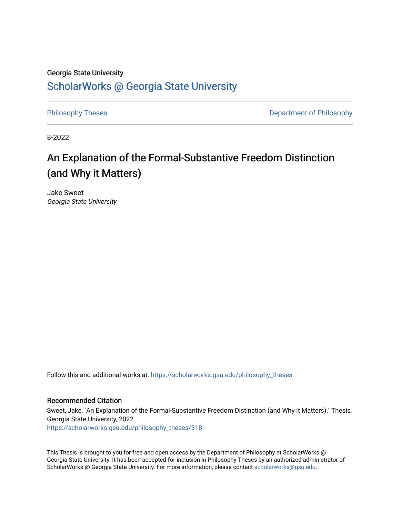# Georgia State University [ScholarWorks @ Georgia State University](https://scholarworks.gsu.edu/)

[Philosophy Theses](https://scholarworks.gsu.edu/philosophy_theses) **Department of Philosophy** 

8-2022

# An Explanation of the Formal-Substantive Freedom Distinction (and Why it Matters)

Jake Sweet Georgia State University

Follow this and additional works at: [https://scholarworks.gsu.edu/philosophy\\_theses](https://scholarworks.gsu.edu/philosophy_theses?utm_source=scholarworks.gsu.edu%2Fphilosophy_theses%2F318&utm_medium=PDF&utm_campaign=PDFCoverPages) 

### Recommended Citation

Sweet, Jake, "An Explanation of the Formal-Substantive Freedom Distinction (and Why it Matters)." Thesis, Georgia State University, 2022. [https://scholarworks.gsu.edu/philosophy\\_theses/318](https://scholarworks.gsu.edu/philosophy_theses/318?utm_source=scholarworks.gsu.edu%2Fphilosophy_theses%2F318&utm_medium=PDF&utm_campaign=PDFCoverPages) 

This Thesis is brought to you for free and open access by the Department of Philosophy at ScholarWorks @ Georgia State University. It has been accepted for inclusion in Philosophy Theses by an authorized administrator of ScholarWorks @ Georgia State University. For more information, please contact [scholarworks@gsu.edu](mailto:scholarworks@gsu.edu).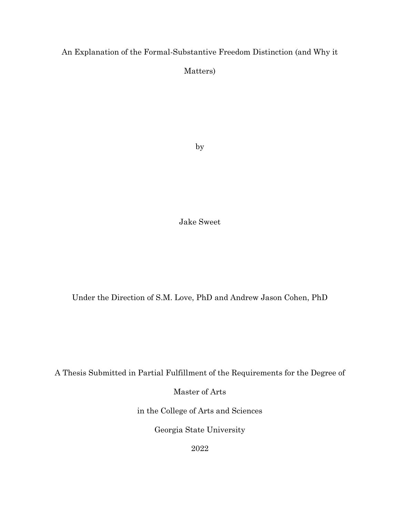An Explanation of the Formal-Substantive Freedom Distinction (and Why it

Matters)

by

Jake Sweet

Under the Direction of S.M. Love, PhD and Andrew Jason Cohen, PhD

A Thesis Submitted in Partial Fulfillment of the Requirements for the Degree of

Master of Arts

in the College of Arts and Sciences

Georgia State University

2022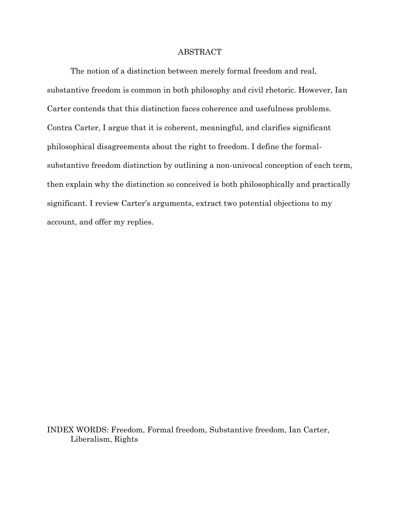### ABSTRACT

The notion of a distinction between merely formal freedom and real, substantive freedom is common in both philosophy and civil rhetoric. However, Ian Carter contends that this distinction faces coherence and usefulness problems. Contra Carter, I argue that it is coherent, meaningful, and clarifies significant philosophical disagreements about the right to freedom. I define the formalsubstantive freedom distinction by outlining a non-univocal conception of each term, then explain why the distinction so conceived is both philosophically and practically significant. I review Carter's arguments, extract two potential objections to my account, and offer my replies.

INDEX WORDS: Freedom, Formal freedom, Substantive freedom, Ian Carter, Liberalism, Rights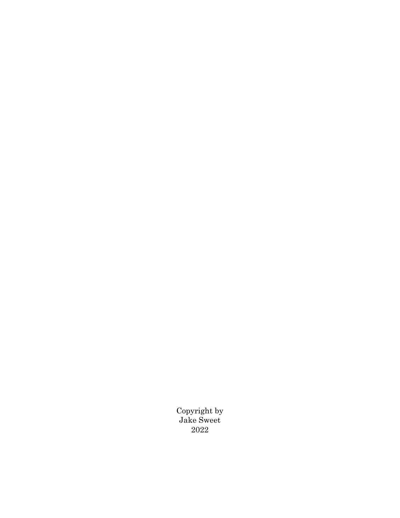Copyright by Jake Sweet 2022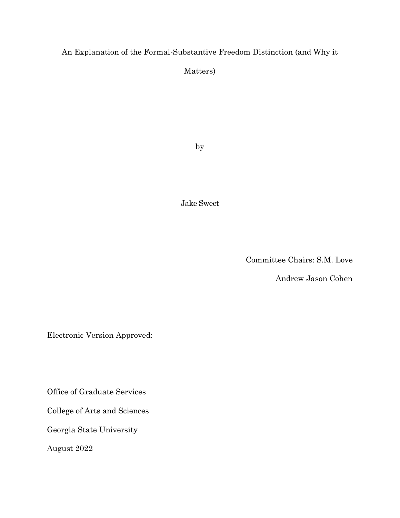# An Explanation of the Formal-Substantive Freedom Distinction (and Why it

Matters)

by

Jake Sweet

Committee Chairs: S.M. Love

Andrew Jason Cohen

Electronic Version Approved:

Office of Graduate Services

College of Arts and Sciences

Georgia State University

August 2022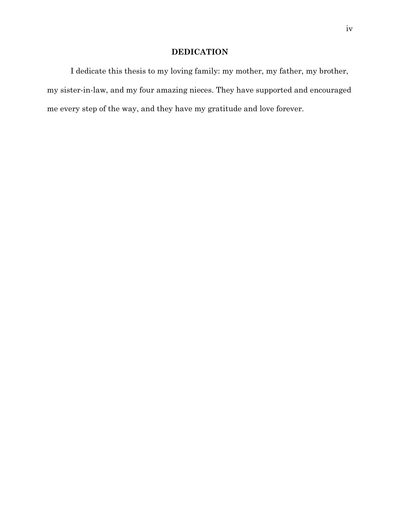# **DEDICATION**

I dedicate this thesis to my loving family: my mother, my father, my brother, my sister-in-law, and my four amazing nieces. They have supported and encouraged me every step of the way, and they have my gratitude and love forever.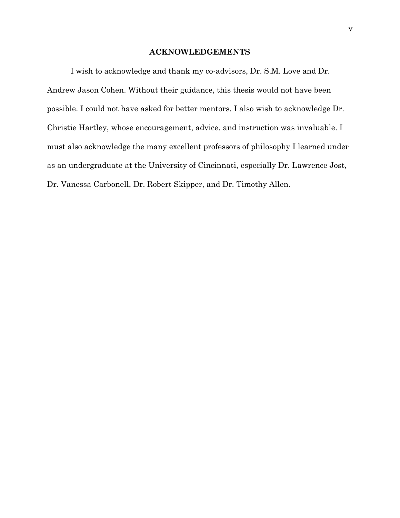### **ACKNOWLEDGEMENTS**

<span id="page-6-0"></span>I wish to acknowledge and thank my co-advisors, Dr. S.M. Love and Dr. Andrew Jason Cohen. Without their guidance, this thesis would not have been possible. I could not have asked for better mentors. I also wish to acknowledge Dr. Christie Hartley, whose encouragement, advice, and instruction was invaluable. I must also acknowledge the many excellent professors of philosophy I learned under as an undergraduate at the University of Cincinnati, especially Dr. Lawrence Jost, Dr. Vanessa Carbonell, Dr. Robert Skipper, and Dr. Timothy Allen.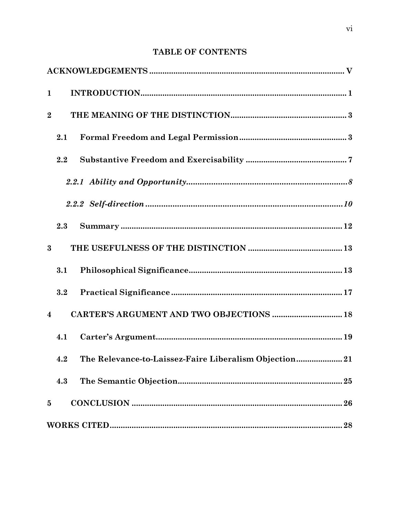# **TABLE OF CONTENTS**

| $\mathbf{1}$            |     |                                                               |  |
|-------------------------|-----|---------------------------------------------------------------|--|
| $\boldsymbol{2}$        |     |                                                               |  |
|                         | 2.1 |                                                               |  |
|                         | 2.2 |                                                               |  |
|                         |     |                                                               |  |
|                         |     |                                                               |  |
|                         | 2.3 |                                                               |  |
| $\bf{3}$                |     |                                                               |  |
|                         | 3.1 |                                                               |  |
|                         | 3.2 |                                                               |  |
| $\overline{\mathbf{4}}$ |     | CARTER'S ARGUMENT AND TWO OBJECTIONS  18                      |  |
|                         | 4.1 |                                                               |  |
|                         |     | 4.2 The Relevance-to-Laissez-Faire Liberalism Objection<br>21 |  |
|                         | 4.3 |                                                               |  |
| $\bf{5}$                |     |                                                               |  |
|                         |     |                                                               |  |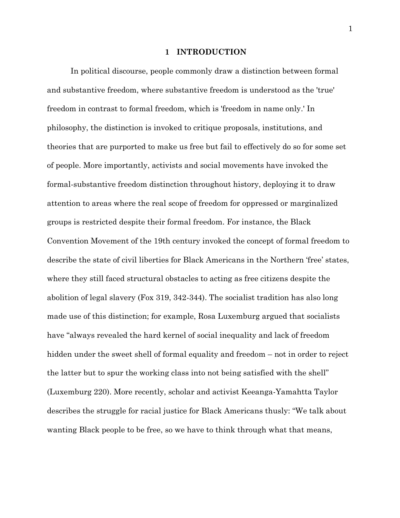#### **1 INTRODUCTION**

<span id="page-8-0"></span>In political discourse, people commonly draw a distinction between formal and substantive freedom, where substantive freedom is understood as the 'true' freedom in contrast to formal freedom, which is 'freedom in name only.' In philosophy, the distinction is invoked to critique proposals, institutions, and theories that are purported to make us free but fail to effectively do so for some set of people. More importantly, activists and social movements have invoked the formal-substantive freedom distinction throughout history, deploying it to draw attention to areas where the real scope of freedom for oppressed or marginalized groups is restricted despite their formal freedom. For instance, the Black Convention Movement of the 19th century invoked the concept of formal freedom to describe the state of civil liberties for Black Americans in the Northern 'free' states, where they still faced structural obstacles to acting as free citizens despite the abolition of legal slavery (Fox 319, 342-344). The socialist tradition has also long made use of this distinction; for example, Rosa Luxemburg argued that socialists have "always revealed the hard kernel of social inequality and lack of freedom hidden under the sweet shell of formal equality and freedom – not in order to reject the latter but to spur the working class into not being satisfied with the shell" (Luxemburg 220). More recently, scholar and activist Keeanga-Yamahtta Taylor describes the struggle for racial justice for Black Americans thusly: "We talk about wanting Black people to be free, so we have to think through what that means,

1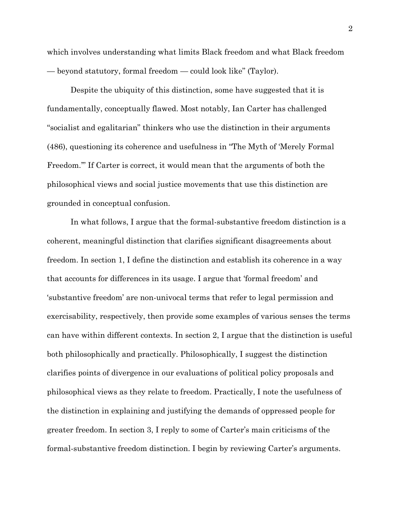which involves understanding what limits Black freedom and what Black freedom — beyond statutory, formal freedom — could look like" (Taylor).

Despite the ubiquity of this distinction, some have suggested that it is fundamentally, conceptually flawed. Most notably, Ian Carter has challenged "socialist and egalitarian" thinkers who use the distinction in their arguments (486), questioning its coherence and usefulness in "The Myth of 'Merely Formal Freedom.'" If Carter is correct, it would mean that the arguments of both the philosophical views and social justice movements that use this distinction are grounded in conceptual confusion.

In what follows, I argue that the formal-substantive freedom distinction is a coherent, meaningful distinction that clarifies significant disagreements about freedom. In section 1, I define the distinction and establish its coherence in a way that accounts for differences in its usage. I argue that 'formal freedom' and 'substantive freedom' are non-univocal terms that refer to legal permission and exercisability, respectively, then provide some examples of various senses the terms can have within different contexts. In section 2, I argue that the distinction is useful both philosophically and practically. Philosophically, I suggest the distinction clarifies points of divergence in our evaluations of political policy proposals and philosophical views as they relate to freedom. Practically, I note the usefulness of the distinction in explaining and justifying the demands of oppressed people for greater freedom. In section 3, I reply to some of Carter's main criticisms of the formal-substantive freedom distinction. I begin by reviewing Carter's arguments.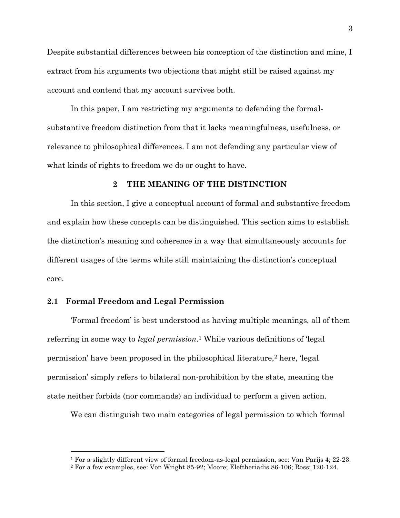Despite substantial differences between his conception of the distinction and mine, I extract from his arguments two objections that might still be raised against my account and contend that my account survives both.

In this paper, I am restricting my arguments to defending the formalsubstantive freedom distinction from that it lacks meaningfulness, usefulness, or relevance to philosophical differences. I am not defending any particular view of what kinds of rights to freedom we do or ought to have.

### **2 THE MEANING OF THE DISTINCTION**

<span id="page-10-0"></span>In this section, I give a conceptual account of formal and substantive freedom and explain how these concepts can be distinguished. This section aims to establish the distinction's meaning and coherence in a way that simultaneously accounts for different usages of the terms while still maintaining the distinction's conceptual core.

# <span id="page-10-1"></span>**2.1 Formal Freedom and Legal Permission**

'Formal freedom' is best understood as having multiple meanings, all of them referring in some way to *legal permission*. <sup>1</sup> While various definitions of 'legal permission' have been proposed in the philosophical literature,<sup>2</sup> here, 'legal permission' simply refers to bilateral non-prohibition by the state, meaning the state neither forbids (nor commands) an individual to perform a given action.

We can distinguish two main categories of legal permission to which 'formal

<sup>1</sup> For a slightly different view of formal freedom-as-legal permission, see: Van Parijs 4; 22-23.

<sup>2</sup> For a few examples, see: Von Wright 85-92; Moore; Eleftheriadis 86-106; Ross; 120-124.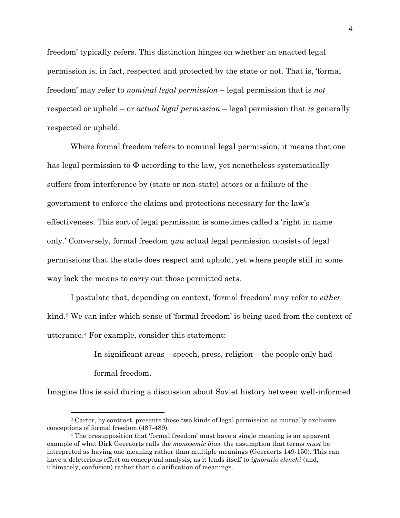freedom' typically refers. This distinction hinges on whether an enacted legal permission is, in fact, respected and protected by the state or not. That is, 'formal freedom' may refer to *nominal legal permission* – legal permission that is *not* respected or upheld – or *actual legal permission* – legal permission that *is* generally respected or upheld.

Where formal freedom refers to nominal legal permission, it means that one has legal permission to  $\Phi$  according to the law, yet nonetheless systematically suffers from interference by (state or non-state) actors or a failure of the government to enforce the claims and protections necessary for the law's effectiveness. This sort of legal permission is sometimes called a 'right in name only.' Conversely, formal freedom *qua* actual legal permission consists of legal permissions that the state does respect and uphold, yet where people still in some way lack the means to carry out those permitted acts.

I postulate that, depending on context, 'formal freedom' may refer to *either* kind.<sup>3</sup> We can infer which sense of 'formal freedom' is being used from the context of utterance.<sup>4</sup> For example, consider this statement:

> In significant areas – speech, press, religion – the people only had formal freedom.

Imagine this is said during a discussion about Soviet history between well-informed

<sup>3</sup> Carter, by contrast, presents these two kinds of legal permission as mutually exclusive conceptions of formal freedom (487-489).

<sup>4</sup> The presupposition that 'formal freedom' must have a single meaning is an apparent example of what Dirk Geeraerts calls the *monosemic bias*: the assumption that terms *must* be interpreted as having one meaning rather than multiple meanings (Geeraerts 149-150). This can have a deleterious effect on conceptual analysis, as it lends itself to *ignoratio elenchi* (and, ultimately, confusion) rather than a clarification of meanings.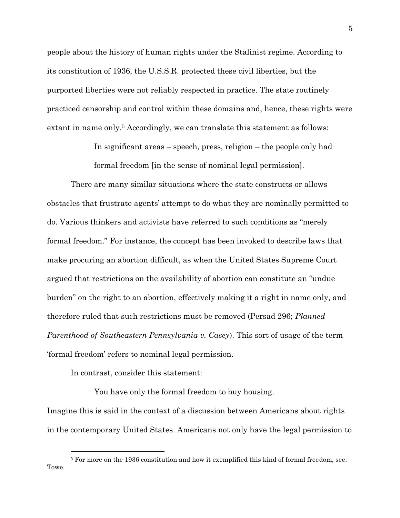people about the history of human rights under the Stalinist regime. According to its constitution of 1936, the U.S.S.R. protected these civil liberties, but the purported liberties were not reliably respected in practice. The state routinely practiced censorship and control within these domains and, hence, these rights were extant in name only.<sup>5</sup> Accordingly, we can translate this statement as follows:

> In significant areas – speech, press, religion – the people only had formal freedom [in the sense of nominal legal permission].

There are many similar situations where the state constructs or allows obstacles that frustrate agents' attempt to do what they are nominally permitted to do. Various thinkers and activists have referred to such conditions as "merely formal freedom." For instance, the concept has been invoked to describe laws that make procuring an abortion difficult, as when the United States Supreme Court argued that restrictions on the availability of abortion can constitute an "undue burden" on the right to an abortion, effectively making it a right in name only, and therefore ruled that such restrictions must be removed (Persad 296; *Planned Parenthood of Southeastern Pennsylvania v. Casey*). This sort of usage of the term 'formal freedom' refers to nominal legal permission.

In contrast, consider this statement:

You have only the formal freedom to buy housing.

Imagine this is said in the context of a discussion between Americans about rights in the contemporary United States. Americans not only have the legal permission to

<sup>5</sup> For more on the 1936 constitution and how it exemplified this kind of formal freedom, see: Towe.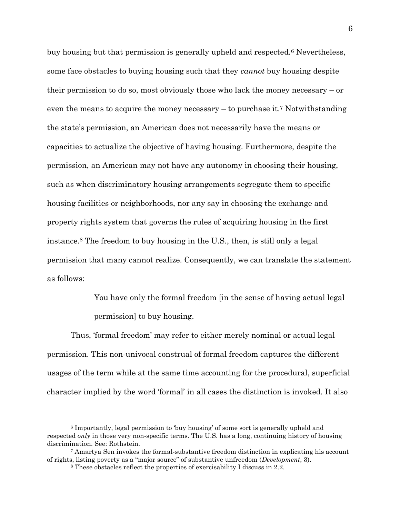buy housing but that permission is generally upheld and respected.<sup>6</sup> Nevertheless, some face obstacles to buying housing such that they *cannot* buy housing despite their permission to do so, most obviously those who lack the money necessary – or even the means to acquire the money necessary – to purchase it.<sup>7</sup> Notwithstanding the state's permission, an American does not necessarily have the means or capacities to actualize the objective of having housing. Furthermore, despite the permission, an American may not have any autonomy in choosing their housing, such as when discriminatory housing arrangements segregate them to specific housing facilities or neighborhoods, nor any say in choosing the exchange and property rights system that governs the rules of acquiring housing in the first instance.<sup>8</sup> The freedom to buy housing in the U.S., then, is still only a legal permission that many cannot realize. Consequently, we can translate the statement as follows:

> You have only the formal freedom [in the sense of having actual legal permission] to buy housing.

Thus, 'formal freedom' may refer to either merely nominal or actual legal permission. This non-univocal construal of formal freedom captures the different usages of the term while at the same time accounting for the procedural, superficial character implied by the word 'formal' in all cases the distinction is invoked. It also

<sup>6</sup> Importantly, legal permission to 'buy housing' of some sort is generally upheld and respected *only* in those very non-specific terms*.* The U.S. has a long, continuing history of housing discrimination. See: Rothstein.

<sup>7</sup> Amartya Sen invokes the formal-substantive freedom distinction in explicating his account of rights, listing poverty as a "major source" of substantive unfreedom (*Development*, 3).

<sup>8</sup> These obstacles reflect the properties of exercisability I discuss in 2.2.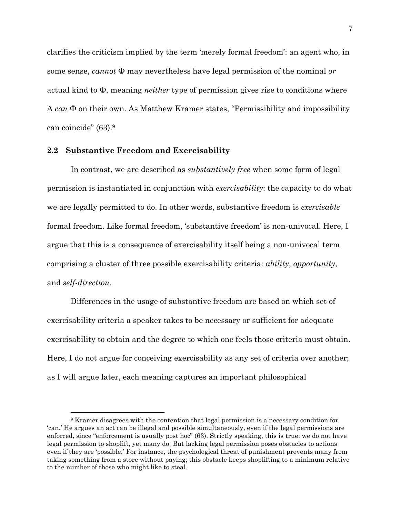clarifies the criticism implied by the term 'merely formal freedom': an agent who, in some sense, *cannot* Φ may nevertheless have legal permission of the nominal *or*  actual kind to Φ, meaning *neither* type of permission gives rise to conditions where A *can* Φ on their own. As Matthew Kramer states, "Permissibility and impossibility can coincide" (63).<sup>9</sup>

#### <span id="page-14-0"></span>**2.2 Substantive Freedom and Exercisability**

In contrast, we are described as *substantively free* when some form of legal permission is instantiated in conjunction with *exercisability*: the capacity to do what we are legally permitted to do. In other words, substantive freedom is *exercisable* formal freedom. Like formal freedom, 'substantive freedom' is non-univocal. Here, I argue that this is a consequence of exercisability itself being a non-univocal term comprising a cluster of three possible exercisability criteria: *ability*, *opportunity*, and *self-direction*.

Differences in the usage of substantive freedom are based on which set of exercisability criteria a speaker takes to be necessary or sufficient for adequate exercisability to obtain and the degree to which one feels those criteria must obtain. Here, I do not argue for conceiving exercisability as any set of criteria over another; as I will argue later, each meaning captures an important philosophical

<sup>9</sup> Kramer disagrees with the contention that legal permission is a necessary condition for 'can.' He argues an act can be illegal and possible simultaneously, even if the legal permissions are enforced, since "enforcement is usually post hoc" (63). Strictly speaking, this is true: we do not have legal permission to shoplift, yet many do. But lacking legal permission poses obstacles to actions even if they are 'possible.' For instance, the psychological threat of punishment prevents many from taking something from a store without paying; this obstacle keeps shoplifting to a minimum relative to the number of those who might like to steal.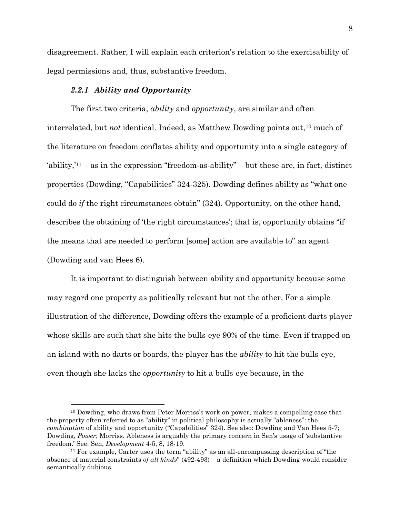disagreement. Rather, I will explain each criterion's relation to the exercisability of legal permissions and, thus, substantive freedom.

# *2.2.1 Ability and Opportunity*

<span id="page-15-0"></span>The first two criteria, *ability* and *opportunity*, are similar and often interrelated, but *not* identical. Indeed, as Matthew Dowding points out,<sup>10</sup> much of the literature on freedom conflates ability and opportunity into a single category of  $a\$ {ability}, $a\$  = as in the expression "freedom-as-ability" – but these are, in fact, distinct properties (Dowding, "Capabilities" 324-325). Dowding defines ability as "what one could do *if* the right circumstances obtain" (324). Opportunity, on the other hand, describes the obtaining of 'the right circumstances'; that is, opportunity obtains "if the means that are needed to perform [some] action are available to" an agent (Dowding and van Hees 6).

It is important to distinguish between ability and opportunity because some may regard one property as politically relevant but not the other. For a simple illustration of the difference, Dowding offers the example of a proficient darts player whose skills are such that she hits the bulls-eye 90% of the time. Even if trapped on an island with no darts or boards, the player has the *ability* to hit the bulls-eye, even though she lacks the *opportunity* to hit a bulls-eye because, in the

<sup>10</sup> Dowding, who draws from Peter Morriss's work on power, makes a compelling case that the property often referred to as "ability" in political philosophy is actually "ableness": the *combination* of ability and opportunity ("Capabilities" 324). See also: Dowding and Van Hees 5-7; Dowding, *Power*; Morriss. Ableness is arguably the primary concern in Sen's usage of 'substantive freedom.' See: Sen, *Development* 4-5, 8, 18-19.

<sup>11</sup> For example, Carter uses the term "ability" as an all-encompassing description of "the absence of material constraints *of all kinds*" (492-493) – a definition which Dowding would consider semantically dubious.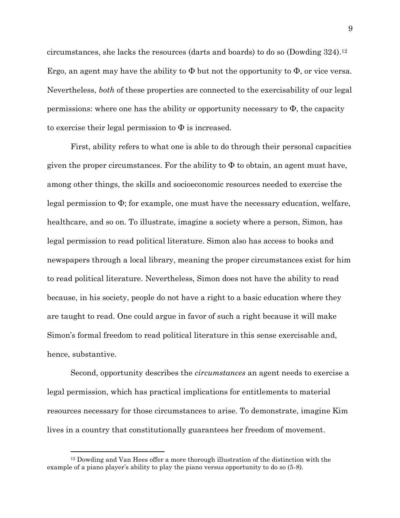circumstances, she lacks the resources (darts and boards) to do so (Dowding 324).<sup>12</sup> Ergo, an agent may have the ability to  $\Phi$  but not the opportunity to  $\Phi$ , or vice versa. Nevertheless, *both* of these properties are connected to the exercisability of our legal permissions: where one has the ability or opportunity necessary to  $\Phi$ , the capacity to exercise their legal permission to  $\Phi$  is increased.

First, ability refers to what one is able to do through their personal capacities given the proper circumstances. For the ability to  $\Phi$  to obtain, an agent must have, among other things, the skills and socioeconomic resources needed to exercise the legal permission to Φ; for example, one must have the necessary education, welfare, healthcare, and so on. To illustrate, imagine a society where a person, Simon, has legal permission to read political literature. Simon also has access to books and newspapers through a local library, meaning the proper circumstances exist for him to read political literature. Nevertheless, Simon does not have the ability to read because, in his society, people do not have a right to a basic education where they are taught to read. One could argue in favor of such a right because it will make Simon's formal freedom to read political literature in this sense exercisable and, hence, substantive.

Second, opportunity describes the *circumstances* an agent needs to exercise a legal permission, which has practical implications for entitlements to material resources necessary for those circumstances to arise. To demonstrate, imagine Kim lives in a country that constitutionally guarantees her freedom of movement.

<sup>12</sup> Dowding and Van Hees offer a more thorough illustration of the distinction with the example of a piano player's ability to play the piano versus opportunity to do so (5-8).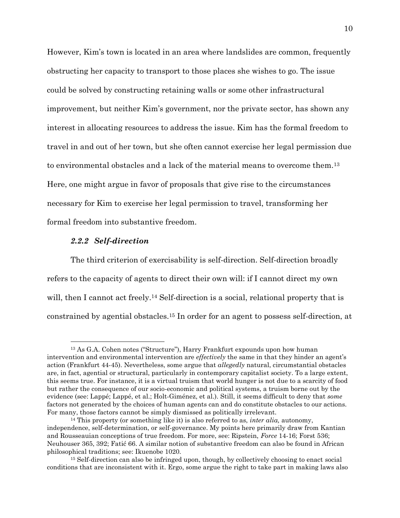However, Kim's town is located in an area where landslides are common, frequently obstructing her capacity to transport to those places she wishes to go. The issue could be solved by constructing retaining walls or some other infrastructural improvement, but neither Kim's government, nor the private sector, has shown any interest in allocating resources to address the issue. Kim has the formal freedom to travel in and out of her town, but she often cannot exercise her legal permission due to environmental obstacles and a lack of the material means to overcome them.<sup>13</sup> Here, one might argue in favor of proposals that give rise to the circumstances necessary for Kim to exercise her legal permission to travel, transforming her formal freedom into substantive freedom.

#### *2.2.2 Self-direction*

<span id="page-17-0"></span>The third criterion of exercisability is self-direction. Self-direction broadly refers to the capacity of agents to direct their own will: if I cannot direct my own will, then I cannot act freely.<sup>14</sup> Self-direction is a social, relational property that is constrained by agential obstacles.<sup>15</sup> In order for an agent to possess self-direction, at

<sup>13</sup> As G.A. Cohen notes ("Structure"), Harry Frankfurt expounds upon how human intervention and environmental intervention are *effectively* the same in that they hinder an agent's action (Frankfurt 44-45). Nevertheless, some argue that *allegedly* natural, circumstantial obstacles are, in fact, agential or structural, particularly in contemporary capitalist society. To a large extent, this seems true. For instance, it is a virtual truism that world hunger is not due to a scarcity of food but rather the consequence of our socio-economic and political systems, a truism borne out by the evidence (see: Lappé; Lappé, et al.; Holt-Giménez, et al.). Still, it seems difficult to deny that *some*  factors not generated by the choices of human agents can and do constitute obstacles to our actions. For many, those factors cannot be simply dismissed as politically irrelevant.

<sup>14</sup> This property (or something like it) is also referred to as, *inter alia,* autonomy, independence, self-determination, or self-governance. My points here primarily draw from Kantian and Rousseauian conceptions of true freedom. For more, see: Ripstein, *Force* 14-16; Forst 536; Neuhouser 365, 392; Fatić 66. A similar notion of substantive freedom can also be found in African philosophical traditions; see: Ikuenobe 1020.

<sup>15</sup> Self-direction can also be infringed upon, though, by collectively choosing to enact social conditions that are inconsistent with it. Ergo, some argue the right to take part in making laws also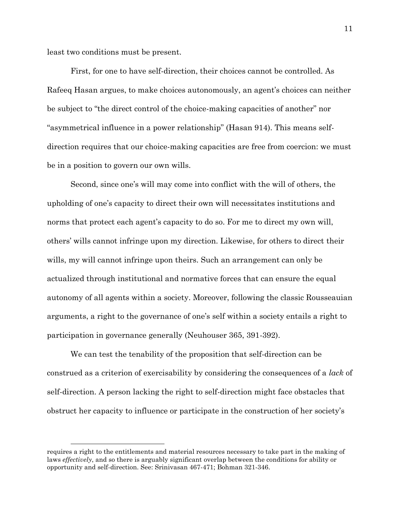least two conditions must be present.

First, for one to have self-direction, their choices cannot be controlled. As Rafeeq Hasan argues, to make choices autonomously, an agent's choices can neither be subject to "the direct control of the choice-making capacities of another" nor "asymmetrical influence in a power relationship" (Hasan 914). This means selfdirection requires that our choice-making capacities are free from coercion: we must be in a position to govern our own wills.

Second, since one's will may come into conflict with the will of others, the upholding of one's capacity to direct their own will necessitates institutions and norms that protect each agent's capacity to do so. For me to direct my own will, others' wills cannot infringe upon my direction. Likewise, for others to direct their wills, my will cannot infringe upon theirs. Such an arrangement can only be actualized through institutional and normative forces that can ensure the equal autonomy of all agents within a society. Moreover, following the classic Rousseauian arguments, a right to the governance of one's self within a society entails a right to participation in governance generally (Neuhouser 365, 391-392).

We can test the tenability of the proposition that self-direction can be construed as a criterion of exercisability by considering the consequences of a *lack* of self-direction. A person lacking the right to self-direction might face obstacles that obstruct her capacity to influence or participate in the construction of her society's

requires a right to the entitlements and material resources necessary to take part in the making of laws *effectively*, and so there is arguably significant overlap between the conditions for ability or opportunity and self-direction. See: Srinivasan 467-471; Bohman 321-346.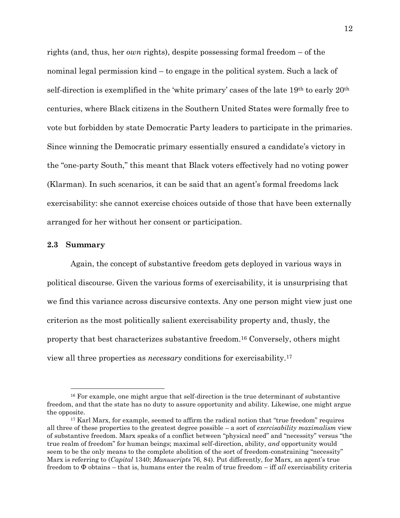rights (and, thus, her *own* rights), despite possessing formal freedom – of the nominal legal permission kind – to engage in the political system. Such a lack of self-direction is exemplified in the 'white primary' cases of the late 19th to early 20th centuries, where Black citizens in the Southern United States were formally free to vote but forbidden by state Democratic Party leaders to participate in the primaries. Since winning the Democratic primary essentially ensured a candidate's victory in the "one-party South," this meant that Black voters effectively had no voting power (Klarman). In such scenarios, it can be said that an agent's formal freedoms lack exercisability: she cannot exercise choices outside of those that have been externally arranged for her without her consent or participation.

#### <span id="page-19-0"></span>**2.3 Summary**

Again, the concept of substantive freedom gets deployed in various ways in political discourse. Given the various forms of exercisability, it is unsurprising that we find this variance across discursive contexts. Any one person might view just one criterion as the most politically salient exercisability property and, thusly, the property that best characterizes substantive freedom.<sup>16</sup> Conversely, others might view all three properties as *necessary* conditions for exercisability.<sup>17</sup>

<sup>&</sup>lt;sup>16</sup> For example, one might argue that self-direction is the true determinant of substantive freedom, and that the state has no duty to assure opportunity and ability. Likewise, one might argue the opposite.

<sup>&</sup>lt;sup>17</sup> Karl Marx, for example, seemed to affirm the radical notion that "true freedom" requires all three of these properties to the greatest degree possible – a sort of *exercisability maximalism* view of substantive freedom. Marx speaks of a conflict between "physical need" and "necessity" versus "the true realm of freedom" for human beings; maximal self-direction, ability, *and* opportunity would seem to be the only means to the complete abolition of the sort of freedom-constraining "necessity" Marx is referring to (*Capital* 1340; *Manuscripts* 76, 84). Put differently, for Marx, an agent's true freedom to Φ obtains – that is, humans enter the realm of true freedom – iff *all* exercisability criteria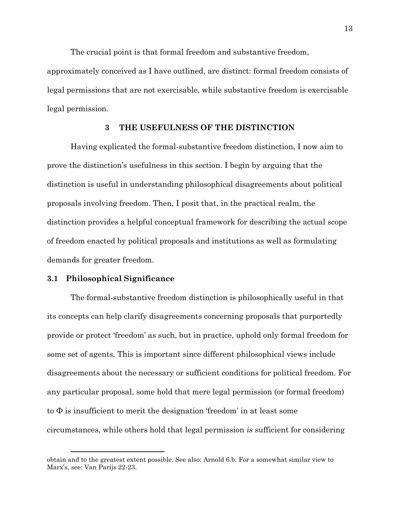The crucial point is that formal freedom and substantive freedom,

approximately conceived as I have outlined, are distinct: formal freedom consists of legal permissions that are not exercisable, while substantive freedom is exercisable legal permission.

# **3 THE USEFULNESS OF THE DISTINCTION**

<span id="page-20-0"></span>Having explicated the formal-substantive freedom distinction, I now aim to prove the distinction's usefulness in this section. I begin by arguing that the distinction is useful in understanding philosophical disagreements about political proposals involving freedom. Then, I posit that, in the practical realm, the distinction provides a helpful conceptual framework for describing the actual scope of freedom enacted by political proposals and institutions as well as formulating demands for greater freedom.

# <span id="page-20-1"></span>**3.1 Philosophical Significance**

The formal-substantive freedom distinction is philosophically useful in that its concepts can help clarify disagreements concerning proposals that purportedly provide or protect 'freedom' as such, but in practice, uphold only formal freedom for some set of agents. This is important since different philosophical views include disagreements about the necessary or sufficient conditions for political freedom. For any particular proposal, some hold that mere legal permission (or formal freedom) to  $\Phi$  is insufficient to merit the designation 'freedom' in at least some circumstances, while others hold that legal permission *is* sufficient for considering

obtain and to the greatest extent possible. See also: Arnold 6.b. For a somewhat similar view to Marx's, see: Van Parijs 22-23.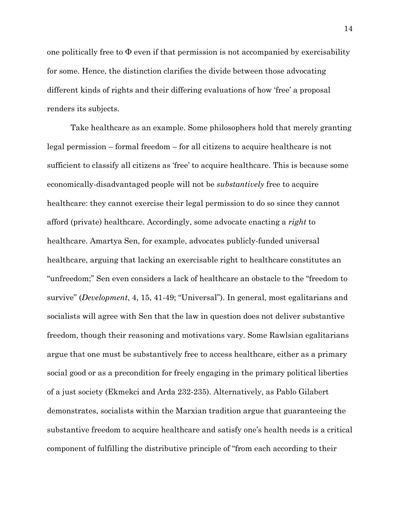one politically free to  $\Phi$  even if that permission is not accompanied by exercisability for some. Hence, the distinction clarifies the divide between those advocating different kinds of rights and their differing evaluations of how 'free' a proposal renders its subjects.

Take healthcare as an example. Some philosophers hold that merely granting legal permission – formal freedom – for all citizens to acquire healthcare is not sufficient to classify all citizens as 'free' to acquire healthcare. This is because some economically-disadvantaged people will not be *substantively* free to acquire healthcare: they cannot exercise their legal permission to do so since they cannot afford (private) healthcare. Accordingly, some advocate enacting a *right* to healthcare. Amartya Sen, for example, advocates publicly-funded universal healthcare, arguing that lacking an exercisable right to healthcare constitutes an "unfreedom;" Sen even considers a lack of healthcare an obstacle to the "freedom to survive" (*Development*, 4, 15, 41-49; "Universal"). In general, most egalitarians and socialists will agree with Sen that the law in question does not deliver substantive freedom, though their reasoning and motivations vary. Some Rawlsian egalitarians argue that one must be substantively free to access healthcare, either as a primary social good or as a precondition for freely engaging in the primary political liberties of a just society (Ekmekci and Arda 232-235). Alternatively, as Pablo Gilabert demonstrates, socialists within the Marxian tradition argue that guaranteeing the substantive freedom to acquire healthcare and satisfy one's health needs is a critical component of fulfilling the distributive principle of "from each according to their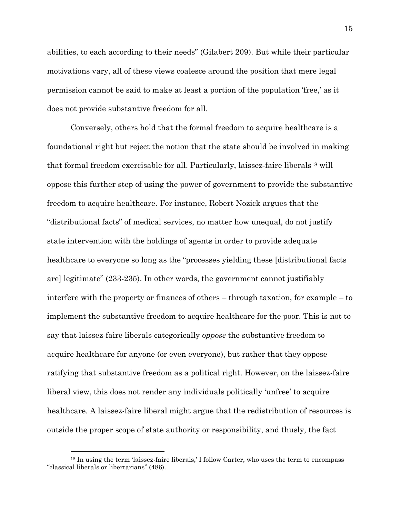abilities, to each according to their needs" (Gilabert 209). But while their particular motivations vary, all of these views coalesce around the position that mere legal permission cannot be said to make at least a portion of the population 'free,' as it does not provide substantive freedom for all.

Conversely, others hold that the formal freedom to acquire healthcare is a foundational right but reject the notion that the state should be involved in making that formal freedom exercisable for all. Particularly, laissez-faire liberals<sup>18</sup> will oppose this further step of using the power of government to provide the substantive freedom to acquire healthcare. For instance, Robert Nozick argues that the "distributional facts" of medical services, no matter how unequal, do not justify state intervention with the holdings of agents in order to provide adequate healthcare to everyone so long as the "processes yielding these [distributional facts are] legitimate" (233-235). In other words, the government cannot justifiably interfere with the property or finances of others – through taxation, for example – to implement the substantive freedom to acquire healthcare for the poor. This is not to say that laissez-faire liberals categorically *oppose* the substantive freedom to acquire healthcare for anyone (or even everyone), but rather that they oppose ratifying that substantive freedom as a political right. However, on the laissez-faire liberal view, this does not render any individuals politically 'unfree' to acquire healthcare. A laissez-faire liberal might argue that the redistribution of resources is outside the proper scope of state authority or responsibility, and thusly, the fact

<sup>&</sup>lt;sup>18</sup> In using the term 'laissez-faire liberals,' I follow Carter, who uses the term to encompass "classical liberals or libertarians" (486).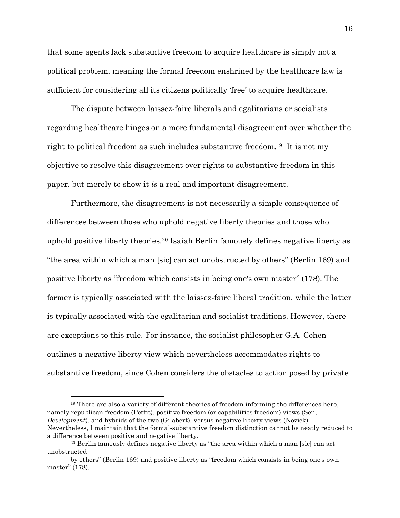that some agents lack substantive freedom to acquire healthcare is simply not a political problem, meaning the formal freedom enshrined by the healthcare law is sufficient for considering all its citizens politically 'free' to acquire healthcare.

The dispute between laissez-faire liberals and egalitarians or socialists regarding healthcare hinges on a more fundamental disagreement over whether the right to political freedom as such includes substantive freedom.19 It is not my objective to resolve this disagreement over rights to substantive freedom in this paper, but merely to show it *is* a real and important disagreement.

Furthermore, the disagreement is not necessarily a simple consequence of differences between those who uphold negative liberty theories and those who uphold positive liberty theories.<sup>20</sup> Isaiah Berlin famously defines negative liberty as "the area within which a man [sic] can act unobstructed by others" (Berlin 169) and positive liberty as "freedom which consists in being one's own master" (178). The former is typically associated with the laissez-faire liberal tradition, while the latter is typically associated with the egalitarian and socialist traditions. However, there are exceptions to this rule. For instance, the socialist philosopher G.A. Cohen outlines a negative liberty view which nevertheless accommodates rights to substantive freedom, since Cohen considers the obstacles to action posed by private

<sup>19</sup> There are also a variety of different theories of freedom informing the differences here, namely republican freedom (Pettit), positive freedom (or capabilities freedom) views (Sen, *Development*), and hybrids of the two (Gilabert)*,* versus negative liberty views (Nozick). Nevertheless, I maintain that the formal-substantive freedom distinction cannot be neatly reduced to a difference between positive and negative liberty.

<sup>20</sup> Berlin famously defines negative liberty as "the area within which a man [sic] can act unobstructed

by others" (Berlin 169) and positive liberty as "freedom which consists in being one's own master" (178).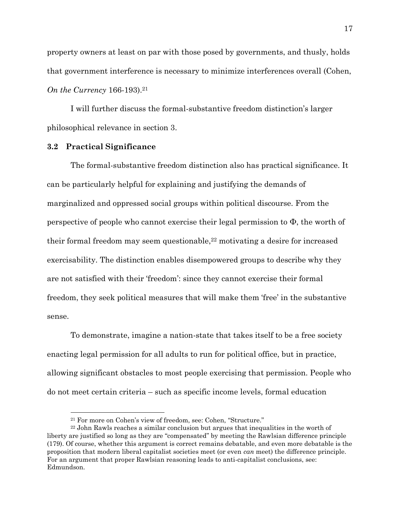property owners at least on par with those posed by governments, and thusly, holds that government interference is necessary to minimize interferences overall (Cohen, *On the Currency* 166-193).<sup>21</sup>

I will further discuss the formal-substantive freedom distinction's larger philosophical relevance in section 3.

#### <span id="page-24-0"></span>**3.2 Practical Significance**

The formal-substantive freedom distinction also has practical significance. It can be particularly helpful for explaining and justifying the demands of marginalized and oppressed social groups within political discourse. From the perspective of people who cannot exercise their legal permission to Φ, the worth of their formal freedom may seem questionable,<sup>22</sup> motivating a desire for increased exercisability. The distinction enables disempowered groups to describe why they are not satisfied with their 'freedom': since they cannot exercise their formal freedom, they seek political measures that will make them 'free' in the substantive sense.

To demonstrate, imagine a nation-state that takes itself to be a free society enacting legal permission for all adults to run for political office, but in practice, allowing significant obstacles to most people exercising that permission. People who do not meet certain criteria – such as specific income levels, formal education

<sup>21</sup> For more on Cohen's view of freedom, see: Cohen, "Structure."

<sup>22</sup> John Rawls reaches a similar conclusion but argues that inequalities in the worth of liberty are justified so long as they are "compensated" by meeting the Rawlsian difference principle (179). Of course, whether this argument is correct remains debatable, and even more debatable is the proposition that modern liberal capitalist societies meet (or even *can* meet) the difference principle. For an argument that proper Rawlsian reasoning leads to anti-capitalist conclusions, see: Edmundson.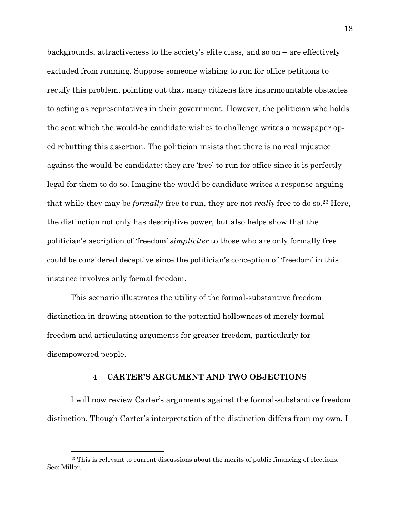backgrounds, attractiveness to the society's elite class, and so on – are effectively excluded from running. Suppose someone wishing to run for office petitions to rectify this problem, pointing out that many citizens face insurmountable obstacles to acting as representatives in their government. However, the politician who holds the seat which the would-be candidate wishes to challenge writes a newspaper oped rebutting this assertion. The politician insists that there is no real injustice against the would-be candidate: they are 'free' to run for office since it is perfectly legal for them to do so. Imagine the would-be candidate writes a response arguing that while they may be *formally* free to run, they are not *really* free to do so.<sup>23</sup> Here, the distinction not only has descriptive power, but also helps show that the politician's ascription of 'freedom' *simpliciter* to those who are only formally free could be considered deceptive since the politician's conception of 'freedom' in this instance involves only formal freedom.

This scenario illustrates the utility of the formal-substantive freedom distinction in drawing attention to the potential hollowness of merely formal freedom and articulating arguments for greater freedom, particularly for disempowered people.

#### **4 CARTER'S ARGUMENT AND TWO OBJECTIONS**

<span id="page-25-0"></span>I will now review Carter's arguments against the formal-substantive freedom distinction. Though Carter's interpretation of the distinction differs from my own, I

<sup>&</sup>lt;sup>23</sup> This is relevant to current discussions about the merits of public financing of elections. See: Miller.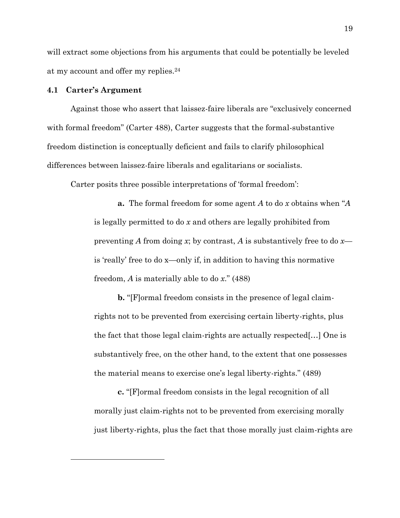will extract some objections from his arguments that could be potentially be leveled at my account and offer my replies.<sup>24</sup>

### <span id="page-26-0"></span>**4.1 Carter's Argument**

Against those who assert that laissez-faire liberals are "exclusively concerned with formal freedom" (Carter 488), Carter suggests that the formal-substantive freedom distinction is conceptually deficient and fails to clarify philosophical differences between laissez-faire liberals and egalitarians or socialists.

Carter posits three possible interpretations of 'formal freedom':

**a.** The formal freedom for some agent *A* to do *x* obtains when "*A*  is legally permitted to do *x* and others are legally prohibited from preventing *A* from doing *x*; by contrast, *A* is substantively free to do *x* is 'really' free to do x—only if, in addition to having this normative freedom, *A* is materially able to do *x*." (488)

**b.** "[F]ormal freedom consists in the presence of legal claimrights not to be prevented from exercising certain liberty-rights, plus the fact that those legal claim-rights are actually respected[…] One is substantively free, on the other hand, to the extent that one possesses the material means to exercise one's legal liberty-rights." (489)

**c.** "[F]ormal freedom consists in the legal recognition of all morally just claim-rights not to be prevented from exercising morally just liberty-rights, plus the fact that those morally just claim-rights are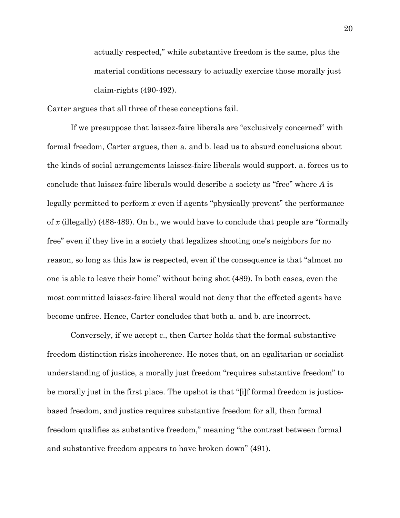actually respected," while substantive freedom is the same, plus the material conditions necessary to actually exercise those morally just claim-rights (490-492).

Carter argues that all three of these conceptions fail.

If we presuppose that laissez-faire liberals are "exclusively concerned" with formal freedom, Carter argues, then a. and b. lead us to absurd conclusions about the kinds of social arrangements laissez-faire liberals would support. a. forces us to conclude that laissez-faire liberals would describe a society as "free" where *A* is legally permitted to perform *x* even if agents "physically prevent" the performance of *x* (illegally) (488-489). On b., we would have to conclude that people are "formally free" even if they live in a society that legalizes shooting one's neighbors for no reason, so long as this law is respected, even if the consequence is that "almost no one is able to leave their home" without being shot (489). In both cases, even the most committed laissez-faire liberal would not deny that the effected agents have become unfree. Hence, Carter concludes that both a. and b. are incorrect.

Conversely, if we accept c., then Carter holds that the formal-substantive freedom distinction risks incoherence. He notes that, on an egalitarian or socialist understanding of justice, a morally just freedom "requires substantive freedom" to be morally just in the first place. The upshot is that "[i]f formal freedom is justicebased freedom, and justice requires substantive freedom for all, then formal freedom qualifies as substantive freedom," meaning "the contrast between formal and substantive freedom appears to have broken down" (491).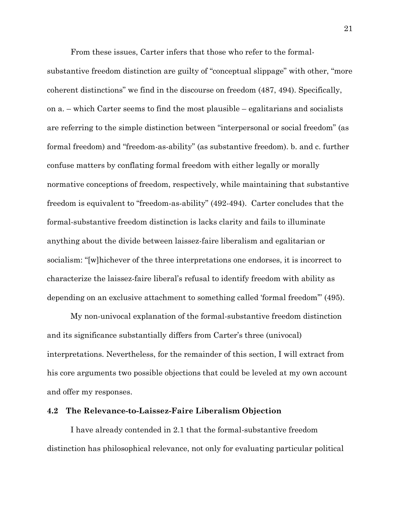From these issues, Carter infers that those who refer to the formalsubstantive freedom distinction are guilty of "conceptual slippage" with other, "more coherent distinctions" we find in the discourse on freedom (487, 494). Specifically, on a. – which Carter seems to find the most plausible – egalitarians and socialists are referring to the simple distinction between "interpersonal or social freedom" (as formal freedom) and "freedom-as-ability" (as substantive freedom). b. and c. further confuse matters by conflating formal freedom with either legally or morally normative conceptions of freedom, respectively, while maintaining that substantive freedom is equivalent to "freedom-as-ability" (492-494). Carter concludes that the formal-substantive freedom distinction is lacks clarity and fails to illuminate anything about the divide between laissez-faire liberalism and egalitarian or socialism: "[w]hichever of the three interpretations one endorses, it is incorrect to characterize the laissez-faire liberal's refusal to identify freedom with ability as depending on an exclusive attachment to something called 'formal freedom'" (495).

My non-univocal explanation of the formal-substantive freedom distinction and its significance substantially differs from Carter's three (univocal) interpretations. Nevertheless, for the remainder of this section, I will extract from his core arguments two possible objections that could be leveled at my own account and offer my responses.

#### <span id="page-28-0"></span>**4.2 The Relevance-to-Laissez-Faire Liberalism Objection**

I have already contended in 2.1 that the formal-substantive freedom distinction has philosophical relevance, not only for evaluating particular political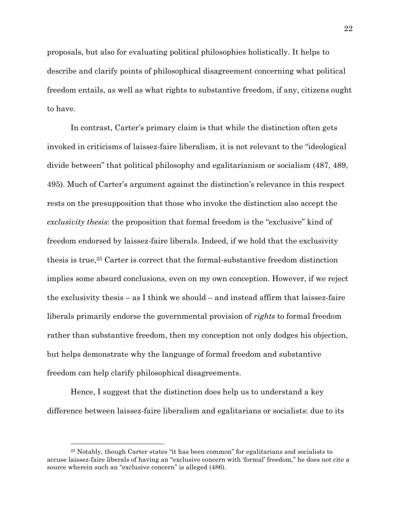proposals, but also for evaluating political philosophies holistically. It helps to describe and clarify points of philosophical disagreement concerning what political freedom entails, as well as what rights to substantive freedom, if any, citizens ought to have.

In contrast, Carter's primary claim is that while the distinction often gets invoked in criticisms of laissez-faire liberalism, it is not relevant to the "ideological divide between" that political philosophy and egalitarianism or socialism (487, 489, 495). Much of Carter's argument against the distinction's relevance in this respect rests on the presupposition that those who invoke the distinction also accept the *exclusivity thesis*: the proposition that formal freedom is the "exclusive" kind of freedom endorsed by laissez-faire liberals. Indeed, if we hold that the exclusivity thesis is true,<sup>25</sup> Carter is correct that the formal-substantive freedom distinction implies some absurd conclusions, even on my own conception. However, if we reject the exclusivity thesis – as I think we should – and instead affirm that laissez-faire liberals primarily endorse the governmental provision of *rights* to formal freedom rather than substantive freedom, then my conception not only dodges his objection, but helps demonstrate why the language of formal freedom and substantive freedom can help clarify philosophical disagreements.

Hence, I suggest that the distinction does help us to understand a key difference between laissez-faire liberalism and egalitarians or socialists: due to its

<sup>25</sup> Notably, though Carter states "it has been common" for egalitarians and socialists to accuse laissez-faire liberals of having an "exclusive concern with 'formal' freedom," he does not cite a source wherein such an "exclusive concern" is alleged (486).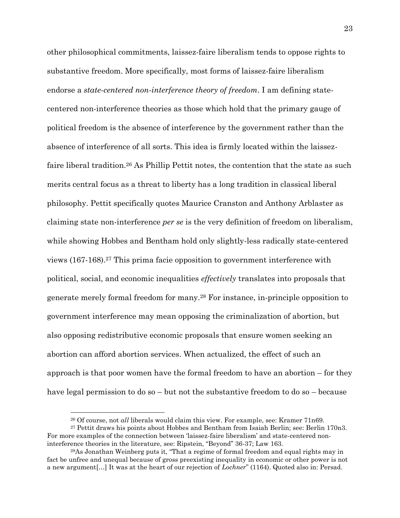other philosophical commitments, laissez-faire liberalism tends to oppose rights to substantive freedom. More specifically, most forms of laissez-faire liberalism endorse a *state-centered non-interference theory of freedom*. I am defining statecentered non-interference theories as those which hold that the primary gauge of political freedom is the absence of interference by the government rather than the absence of interference of all sorts. This idea is firmly located within the laissezfaire liberal tradition.<sup>26</sup> As Phillip Pettit notes, the contention that the state as such merits central focus as a threat to liberty has a long tradition in classical liberal philosophy. Pettit specifically quotes Maurice Cranston and Anthony Arblaster as claiming state non-interference *per se* is the very definition of freedom on liberalism, while showing Hobbes and Bentham hold only slightly-less radically state-centered views (167-168).<sup>27</sup> This prima facie opposition to government interference with political, social, and economic inequalities *effectively* translates into proposals that generate merely formal freedom for many.<sup>28</sup> For instance, in-principle opposition to government interference may mean opposing the criminalization of abortion, but also opposing redistributive economic proposals that ensure women seeking an abortion can afford abortion services. When actualized, the effect of such an approach is that poor women have the formal freedom to have an abortion – for they have legal permission to do so – but not the substantive freedom to do so – because

<sup>26</sup> Of course, not *all* liberals would claim this view. For example, see: Kramer 71n69.

<sup>27</sup> Pettit draws his points about Hobbes and Bentham from Isaiah Berlin; see: Berlin 170n3. For more examples of the connection between 'laissez-faire liberalism' and state-centered noninterference theories in the literature, see: Ripstein, "Beyond" 36-37; Law 163.

<sup>28</sup>As Jonathan Weinberg puts it, "That a regime of formal freedom and equal rights may in fact be unfree and unequal because of gross preexisting inequality in economic or other power is not a new argument[…] It was at the heart of our rejection of *Lochner*" (1164). Quoted also in: Persad.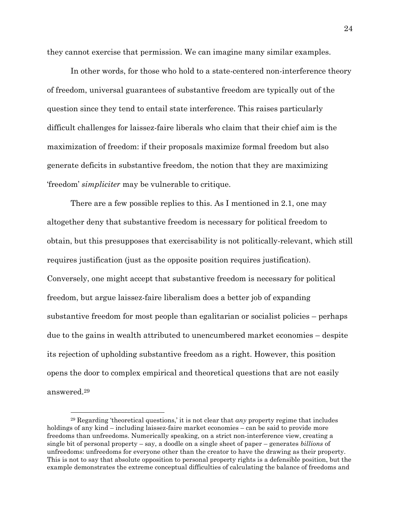they cannot exercise that permission. We can imagine many similar examples.

In other words, for those who hold to a state-centered non-interference theory of freedom, universal guarantees of substantive freedom are typically out of the question since they tend to entail state interference. This raises particularly difficult challenges for laissez-faire liberals who claim that their chief aim is the maximization of freedom: if their proposals maximize formal freedom but also generate deficits in substantive freedom, the notion that they are maximizing 'freedom' *simpliciter* may be vulnerable to critique.

There are a few possible replies to this. As I mentioned in 2.1, one may altogether deny that substantive freedom is necessary for political freedom to obtain, but this presupposes that exercisability is not politically-relevant, which still requires justification (just as the opposite position requires justification). Conversely, one might accept that substantive freedom is necessary for political freedom, but argue laissez-faire liberalism does a better job of expanding substantive freedom for most people than egalitarian or socialist policies – perhaps due to the gains in wealth attributed to unencumbered market economies – despite its rejection of upholding substantive freedom as a right. However, this position opens the door to complex empirical and theoretical questions that are not easily answered.<sup>29</sup>

<sup>29</sup> Regarding 'theoretical questions,' it is not clear that *any* property regime that includes holdings of any kind – including laissez-faire market economies – can be said to provide more freedoms than unfreedoms. Numerically speaking, on a strict non-interference view, creating a single bit of personal property – say, a doodle on a single sheet of paper – generates *billions* of unfreedoms: unfreedoms for everyone other than the creator to have the drawing as their property. This is not to say that absolute opposition to personal property rights is a defensible position, but the example demonstrates the extreme conceptual difficulties of calculating the balance of freedoms and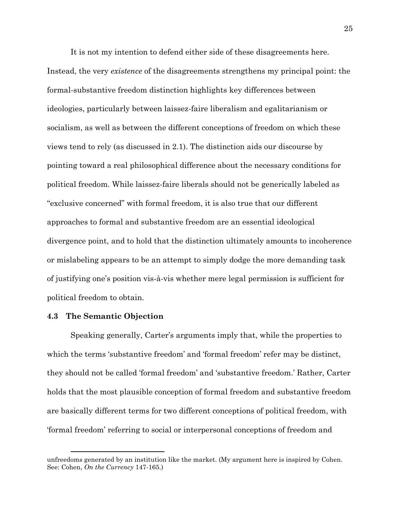It is not my intention to defend either side of these disagreements here. Instead, the very *existence* of the disagreements strengthens my principal point: the formal-substantive freedom distinction highlights key differences between ideologies, particularly between laissez-faire liberalism and egalitarianism or socialism, as well as between the different conceptions of freedom on which these views tend to rely (as discussed in 2.1). The distinction aids our discourse by pointing toward a real philosophical difference about the necessary conditions for political freedom. While laissez-faire liberals should not be generically labeled as "exclusive concerned" with formal freedom, it is also true that our different approaches to formal and substantive freedom are an essential ideological divergence point, and to hold that the distinction ultimately amounts to incoherence or mislabeling appears to be an attempt to simply dodge the more demanding task of justifying one's position vis-à-vis whether mere legal permission is sufficient for political freedom to obtain.

### <span id="page-32-0"></span>**4.3 The Semantic Objection**

Speaking generally, Carter's arguments imply that, while the properties to which the terms 'substantive freedom' and 'formal freedom' refer may be distinct, they should not be called 'formal freedom' and 'substantive freedom.' Rather, Carter holds that the most plausible conception of formal freedom and substantive freedom are basically different terms for two different conceptions of political freedom, with 'formal freedom' referring to social or interpersonal conceptions of freedom and

unfreedoms generated by an institution like the market. (My argument here is inspired by Cohen. See: Cohen, *On the Currency* 147-165.)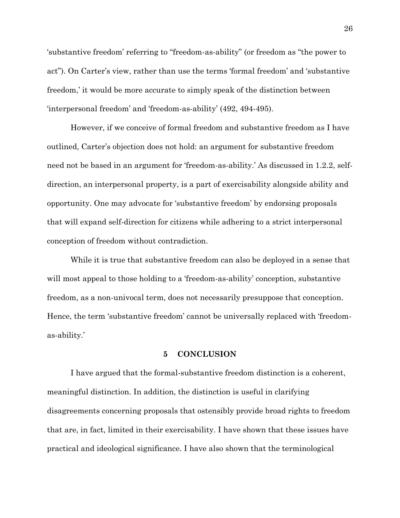'substantive freedom' referring to "freedom-as-ability" (or freedom as "the power to act"). On Carter's view, rather than use the terms 'formal freedom' and 'substantive freedom,' it would be more accurate to simply speak of the distinction between 'interpersonal freedom' and 'freedom-as-ability' (492, 494-495).

However, if we conceive of formal freedom and substantive freedom as I have outlined, Carter's objection does not hold: an argument for substantive freedom need not be based in an argument for 'freedom-as-ability.' As discussed in 1.2.2, selfdirection, an interpersonal property, is a part of exercisability alongside ability and opportunity. One may advocate for 'substantive freedom' by endorsing proposals that will expand self-direction for citizens while adhering to a strict interpersonal conception of freedom without contradiction.

While it is true that substantive freedom can also be deployed in a sense that will most appeal to those holding to a 'freedom-as-ability' conception, substantive freedom, as a non-univocal term, does not necessarily presuppose that conception. Hence, the term 'substantive freedom' cannot be universally replaced with 'freedomas-ability.'

# **5 CONCLUSION**

<span id="page-33-0"></span>I have argued that the formal-substantive freedom distinction is a coherent, meaningful distinction. In addition, the distinction is useful in clarifying disagreements concerning proposals that ostensibly provide broad rights to freedom that are, in fact, limited in their exercisability. I have shown that these issues have practical and ideological significance. I have also shown that the terminological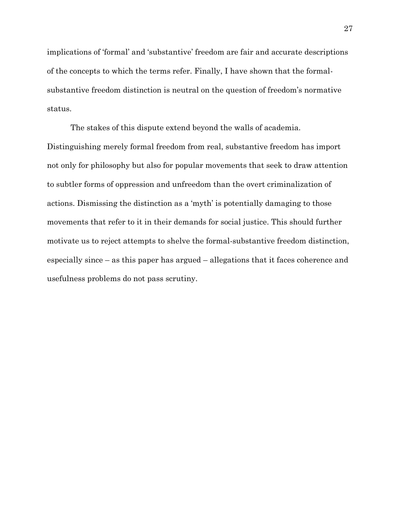implications of 'formal' and 'substantive' freedom are fair and accurate descriptions of the concepts to which the terms refer. Finally, I have shown that the formalsubstantive freedom distinction is neutral on the question of freedom's normative status.

The stakes of this dispute extend beyond the walls of academia. Distinguishing merely formal freedom from real, substantive freedom has import not only for philosophy but also for popular movements that seek to draw attention to subtler forms of oppression and unfreedom than the overt criminalization of actions. Dismissing the distinction as a 'myth' is potentially damaging to those movements that refer to it in their demands for social justice. This should further motivate us to reject attempts to shelve the formal-substantive freedom distinction, especially since – as this paper has argued – allegations that it faces coherence and usefulness problems do not pass scrutiny.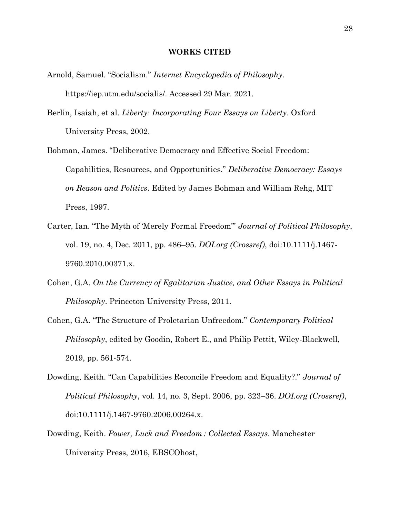#### **WORKS CITED**

- <span id="page-35-0"></span>Arnold, Samuel. "Socialism." *Internet Encyclopedia of Philosophy*. https://iep.utm.edu/socialis/. Accessed 29 Mar. 2021.
- Berlin, Isaiah, et al. *Liberty: Incorporating Four Essays on Liberty*. Oxford University Press, 2002.
- Bohman, James. "Deliberative Democracy and Effective Social Freedom: Capabilities, Resources, and Opportunities." *Deliberative Democracy: Essays on Reason and Politics*. Edited by James Bohman and William Rehg, MIT Press, 1997.
- Carter, Ian. "The Myth of 'Merely Formal Freedom'" *Journal of Political Philosophy*, vol. 19, no. 4, Dec. 2011, pp. 486–95. *DOI.org (Crossref)*, doi:10.1111/j.1467- 9760.2010.00371.x.
- Cohen, G.A. *On the Currency of Egalitarian Justice, and Other Essays in Political Philosophy*. Princeton University Press, 2011.
- Cohen, G.A. "The Structure of Proletarian Unfreedom." *Contemporary Political Philosophy*, edited by Goodin, Robert E., and Philip Pettit, Wiley-Blackwell, 2019, pp. 561-574.
- Dowding, Keith. "Can Capabilities Reconcile Freedom and Equality?." *Journal of Political Philosophy*, vol. 14, no. 3, Sept. 2006, pp. 323–36. *DOI.org (Crossref)*, doi:10.1111/j.1467-9760.2006.00264.x.
- Dowding, Keith. *Power, Luck and Freedom : Collected Essays*. Manchester University Press, 2016, EBSCOhost,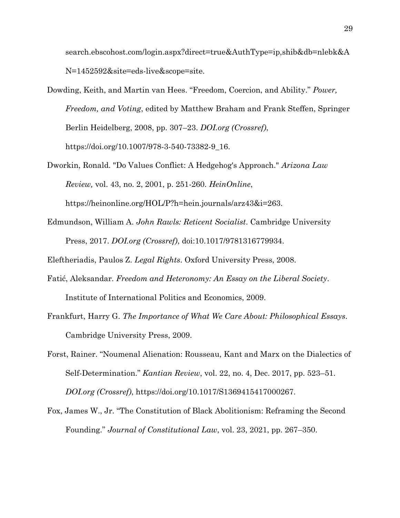search.ebscohost.com/login.aspx?direct=true&AuthType=ip,shib&db=nlebk&A N=1452592&site=eds-live&scope=site.

- Dowding, Keith, and Martin van Hees. "Freedom, Coercion, and Ability." *Power, Freedom, and Voting*, edited by Matthew Braham and Frank Steffen, Springer Berlin Heidelberg, 2008, pp. 307–23. *DOI.org (Crossref)*, https://doi.org/10.1007/978-3-540-73382-9\_16.
- Dworkin, Ronald. "Do Values Conflict: A Hedgehog's Approach." *Arizona Law Review,* vol. 43, no. 2, 2001, p. 251-260. *HeinOnline*, https://heinonline.org/HOL/P?h=hein.journals/arz43&i=263.
- Edmundson, William A. *John Rawls: Reticent Socialist*. Cambridge University Press, 2017. *DOI.org (Crossref)*, doi:10.1017/9781316779934.

Eleftheriadis, Paulos Z. *Legal Rights*. Oxford University Press, 2008.

- Fatić, Aleksandar. *Freedom and Heteronomy: An Essay on the Liberal Society*. Institute of International Politics and Economics, 2009.
- Frankfurt, Harry G. *The Importance of What We Care About: Philosophical Essays*. Cambridge University Press, 2009.
- Forst, Rainer. "Noumenal Alienation: Rousseau, Kant and Marx on the Dialectics of Self-Determination." *Kantian Review*, vol. 22, no. 4, Dec. 2017, pp. 523–51. *DOI.org (Crossref)*, https://doi.org/10.1017/S1369415417000267.
- Fox, James W., Jr. "The Constitution of Black Abolitionism: Reframing the Second Founding." *Journal of Constitutional Law*, vol. 23, 2021, pp. 267–350.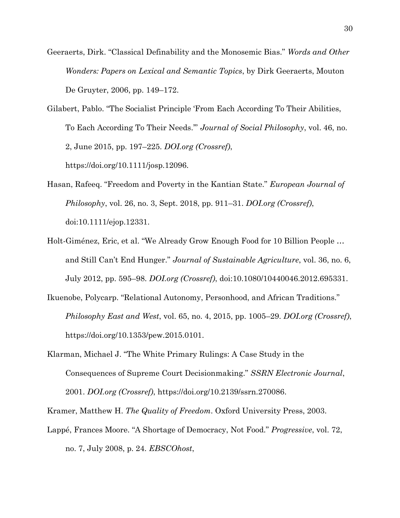Geeraerts, Dirk. "Classical Definability and the Monosemic Bias." *Words and Other Wonders: Papers on Lexical and Semantic Topics*, by Dirk Geeraerts, Mouton De Gruyter, 2006, pp. 149–172.

Gilabert, Pablo. "The Socialist Principle 'From Each According To Their Abilities, To Each According To Their Needs.'" *Journal of Social Philosophy*, vol. 46, no. 2, June 2015, pp. 197–225. *DOI.org (Crossref)*, https://doi.org/10.1111/josp.12096.

- Hasan, Rafeeq. "Freedom and Poverty in the Kantian State." *European Journal of Philosophy*, vol. 26, no. 3, Sept. 2018, pp. 911–31. *DOI.org (Crossref)*, doi:10.1111/ejop.12331.
- Holt-Giménez, Eric, et al. "We Already Grow Enough Food for 10 Billion People … and Still Can't End Hunger." *Journal of Sustainable Agriculture*, vol. 36, no. 6, July 2012, pp. 595–98. *DOI.org (Crossref)*, doi:10.1080/10440046.2012.695331.
- Ikuenobe, Polycarp. "Relational Autonomy, Personhood, and African Traditions." *Philosophy East and West*, vol. 65, no. 4, 2015, pp. 1005–29. *DOI.org (Crossref)*, https://doi.org/10.1353/pew.2015.0101.
- Klarman, Michael J. "The White Primary Rulings: A Case Study in the Consequences of Supreme Court Decisionmaking." *SSRN Electronic Journal*, 2001. *DOI.org (Crossref)*, https://doi.org/10.2139/ssrn.270086.

Kramer, Matthew H. *The Quality of Freedom*. Oxford University Press, 2003.

Lappé, Frances Moore. "A Shortage of Democracy, Not Food." *Progressive*, vol. 72, no. 7, July 2008, p. 24. *EBSCOhost*,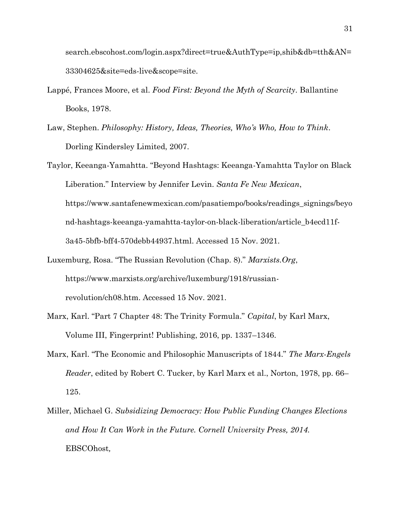search.ebscohost.com/login.aspx?direct=true&AuthType=ip,shib&db=tth&AN= 33304625&site=eds-live&scope=site.

- Lappé, Frances Moore, et al. *Food First: Beyond the Myth of Scarcity*. Ballantine Books, 1978.
- Law, Stephen. *Philosophy: History, Ideas, Theories, Who's Who, How to Think*. Dorling Kindersley Limited, 2007.
- Taylor, Keeanga-Yamahtta. "Beyond Hashtags: Keeanga-Yamahtta Taylor on Black Liberation." Interview by Jennifer Levin. *Santa Fe New Mexican*, https://www.santafenewmexican.com/pasatiempo/books/readings\_signings/beyo nd-hashtags-keeanga-yamahtta-taylor-on-black-liberation/article\_b4ecd11f-3a45-5bfb-bff4-570debb44937.html. Accessed 15 Nov. 2021.
- Luxemburg, Rosa. "The Russian Revolution (Chap. 8)." *Marxists.Org*, https://www.marxists.org/archive/luxemburg/1918/russianrevolution/ch08.htm. Accessed 15 Nov. 2021.
- Marx, Karl. "Part 7 Chapter 48: The Trinity Formula." *Capital*, by Karl Marx, Volume III, Fingerprint! Publishing, 2016, pp. 1337–1346.
- Marx, Karl. "The Economic and Philosophic Manuscripts of 1844." *The Marx-Engels Reader*, edited by Robert C. Tucker, by Karl Marx et al., Norton, 1978, pp. 66– 125.
- Miller, Michael G. *Subsidizing Democracy: How Public Funding Changes Elections*  and How It Can Work in the Future. Cornell University Press, 2014. EBSCOhost*,*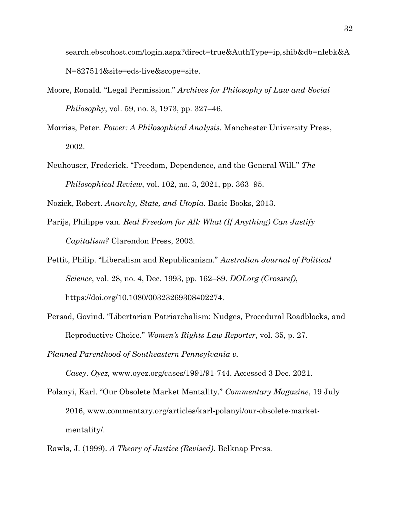search.ebscohost.com/login.aspx?direct=true&AuthType=ip,shib&db=nlebk&A N=827514&site=eds-live&scope=site.

- Moore, Ronald. "Legal Permission." *Archives for Philosophy of Law and Social Philosophy*, vol. 59, no. 3, 1973, pp. 327–46.
- Morriss, Peter. *Power: A Philosophical Analysis.* Manchester University Press, 2002.
- Neuhouser, Frederick. "Freedom, Dependence, and the General Will." *The Philosophical Review*, vol. 102, no. 3, 2021, pp. 363–95.

Nozick, Robert. *Anarchy, State, and Utopia*. Basic Books, 2013.

- Parijs, Philippe van. *Real Freedom for All: What (If Anything) Can Justify Capitalism?* Clarendon Press, 2003.
- Pettit, Philip. "Liberalism and Republicanism." *Australian Journal of Political Science*, vol. 28, no. 4, Dec. 1993, pp. 162–89. *DOI.org (Crossref)*, https://doi.org/10.1080/00323269308402274.
- Persad, Govind. "Libertarian Patriarchalism: Nudges, Procedural Roadblocks, and Reproductive Choice." *Women's Rights Law Reporter*, vol. 35, p. 27.

*Planned Parenthood of Southeastern Pennsylvania v.* 

*Casey*. *Oyez,* www.oyez.org/cases/1991/91-744. Accessed 3 Dec. 2021.

- Polanyi, Karl. "Our Obsolete Market Mentality." *Commentary Magazine*, 19 July 2016, www.commentary.org/articles/karl-polanyi/our-obsolete-marketmentality/.
- Rawls, J. (1999). *A Theory of Justice (Revised)*. Belknap Press.